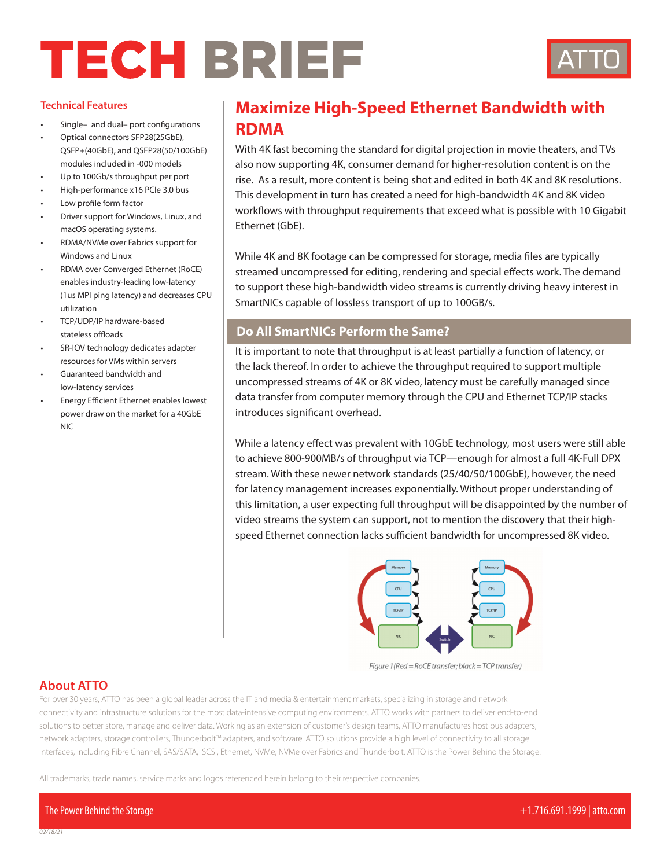# **TECH BRIEF**



#### **Technical Features**

- Single– and dual– port configurations
- Optical connectors SFP28(25GbE), QSFP+(40GbE), and QSFP28(50/100GbE) modules included in -000 models
- Up to 100Gb/s throughput per port
- High-performance x16 PCIe 3.0 bus
- Low profile form factor
- Driver support for Windows, Linux, and macOS operating systems.
- RDMA/NVMe over Fabrics support for Windows and Linux
- RDMA over Converged Ethernet (RoCE) enables industry-leading low-latency (1us MPI ping latency) and decreases CPU utilization
- TCP/UDP/IP hardware-based stateless offloads
- SR-IOV technology dedicates adapter resources for VMs within servers
- Guaranteed bandwidth and low-latency services
- Energy Efficient Ethernet enables lowest power draw on the market for a 40GbE NIC

## **Maximize High-Speed Ethernet Bandwidth with RDMA**

With 4K fast becoming the standard for digital projection in movie theaters, and TVs also now supporting 4K, consumer demand for higher-resolution content is on the rise. As a result, more content is being shot and edited in both 4K and 8K resolutions. This development in turn has created a need for high-bandwidth 4K and 8K video workflows with throughput requirements that exceed what is possible with 10 Gigabit Ethernet (GbE).

While 4K and 8K footage can be compressed for storage, media files are typically streamed uncompressed for editing, rendering and special effects work. The demand to support these high-bandwidth video streams is currently driving heavy interest in SmartNICs capable of lossless transport of up to 100GB/s.

#### **Do All SmartNICs Perform the Same?**

It is important to note that throughput is at least partially a function of latency, or the lack thereof. In order to achieve the throughput required to support multiple uncompressed streams of 4K or 8K video, latency must be carefully managed since data transfer from computer memory through the CPU and Ethernet TCP/IP stacks introduces significant overhead.

While a latency effect was prevalent with 10GbE technology, most users were still able to achieve 800-900MB/s of throughput via TCP—enough for almost a full 4K-Full DPX stream. With these newer network standards (25/40/50/100GbE), however, the need for latency management increases exponentially. Without proper understanding of this limitation, a user expecting full throughput will be disappointed by the number of video streams the system can support, not to mention the discovery that their highspeed Ethernet connection lacks sufficient bandwidth for uncompressed 8K video.



Figure 1(Red = RoCE transfer; black = TCP transfer)

### **About ATTO**

For over 30 years, ATTO has been a global leader across the IT and media & entertainment markets, specializing in storage and network connectivity and infrastructure solutions for the most data-intensive computing environments. ATTO works with partners to deliver end-to-end solutions to better store, manage and deliver data. Working as an extension of customer's design teams, ATTO manufactures host bus adapters, network adapters, storage controllers, Thunderbolt™ adapters, and software. ATTO solutions provide a high level of connectivity to all storage interfaces, including Fibre Channel, SAS/SATA, iSCSI, Ethernet, NVMe, NVMe over Fabrics and Thunderbolt. ATTO is the Power Behind the Storage.

All trademarks, trade names, service marks and logos referenced herein belong to their respective companies.

The Power Behind the Storage +1.716.691.1999 | atto.com